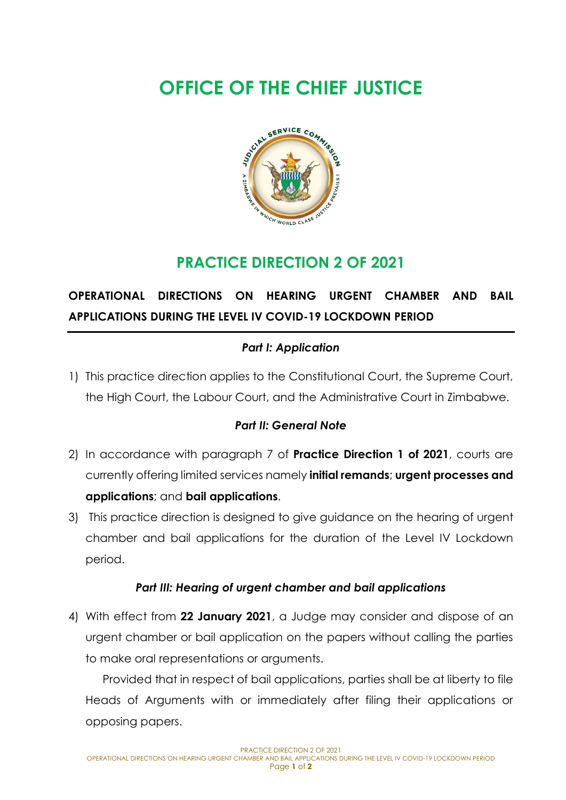# **OFFICE OF THE CHIEF JUSTICE**



## **PRACTICE DIRECTION 2 OF 2021**

## **OPERATIONAL DIRECTIONS ON HEARING URGENT CHAMBER AND BAIL APPLICATIONS DURING THE LEVEL IV COVID-19 LOCKDOWN PERIOD**

### *Part I: Application*

1) This practice direction applies to the Constitutional Court, the Supreme Court, the High Court, the Labour Court, and the Administrative Court in Zimbabwe.

#### *Part II: General Note*

- 2) In accordance with paragraph 7 of **Practice Direction 1 of 2021**, courts are currently offering limited services namely **initial remands**; **urgent processes and applications**; and **bail applications**.
- 3) This practice direction is designed to give guidance on the hearing of urgent chamber and bail applications for the duration of the Level IV Lockdown period.

#### *Part III: Hearing of urgent chamber and bail applications*

4) With effect from **22 January 2021**, a Judge may consider and dispose of an urgent chamber or bail application on the papers without calling the parties to make oral representations or arguments.

Provided that in respect of bail applications, parties shall be at liberty to file Heads of Arguments with or immediately after filing their applications or opposing papers.